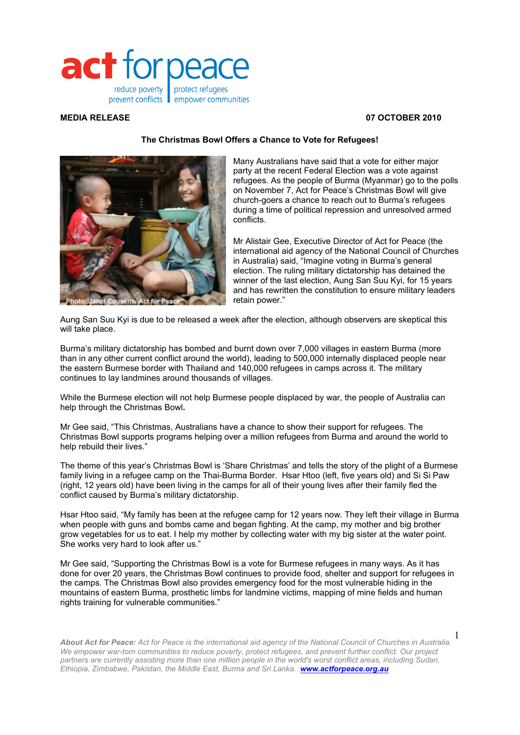

### **MEDIA RELEASE 07 OCTOBER 2010**

# **The Christmas Bowl Offers a Chance to Vote for Refugees!**



Many Australians have said that a vote for either major party at the recent Federal Election was a vote against refugees. As the people of Burma (Myanmar) go to the polls on November 7, Act for Peace's Christmas Bowl will give church-goers a chance to reach out to Burma's refugees during a time of political repression and unresolved armed conflicts.

Mr Alistair Gee, Executive Director of Act for Peace (the international aid agency of the National Council of Churches in Australia) said, "Imagine voting in Burma's general election. The ruling military dictatorship has detained the winner of the last election, Aung San Suu Kyi, for 15 years and has rewritten the constitution to ensure military leaders retain power."

Aung San Suu Kyi is due to be released a week after the election, although observers are skeptical this will take place.

Burma's military dictatorship has bombed and burnt down over 7,000 villages in eastern Burma (more than in any other current conflict around the world), leading to 500,000 internally displaced people near the eastern Burmese border with Thailand and 140,000 refugees in camps across it. The military continues to lay landmines around thousands of villages.

While the Burmese election will not help Burmese people displaced by war, the people of Australia can help through the Christmas Bowl**.** 

Mr Gee said, "This Christmas, Australians have a chance to show their support for refugees. The Christmas Bowl supports programs helping over a million refugees from Burma and around the world to help rebuild their lives."

The theme of this year's Christmas Bowl is 'Share Christmas' and tells the story of the plight of a Burmese family living in a refugee camp on the Thai-Burma Border. Hsar Htoo (left, five years old) and Si Si Paw (right, 12 years old) have been living in the camps for all of their young lives after their family fled the conflict caused by Burma's military dictatorship.

Hsar Htoo said, "My family has been at the refugee camp for 12 years now. They left their village in Burma when people with guns and bombs came and began fighting. At the camp, my mother and big brother grow vegetables for us to eat. I help my mother by collecting water with my big sister at the water point. She works very hard to look after us."

Mr Gee said, "Supporting the Christmas Bowl is a vote for Burmese refugees in many ways. As it has done for over 20 years, the Christmas Bowl continues to provide food, shelter and support for refugees in the camps. The Christmas Bowl also provides emergency food for the most vulnerable hiding in the mountains of eastern Burma, prosthetic limbs for landmine victims, mapping of mine fields and human rights training for vulnerable communities."

*About Act for Peace: Act for Peace is the international aid agency of the National Council of Churches in Australia. We empower war-torn communities to reduce poverty, protect refugees, and prevent further conflict. Our project*  partners are currently assisting more than one million people in the world's worst conflict areas, including Sudan, *Ethiopia, Zimbabwe, Pakistan, the Middle East, Burma and Sri Lanka. www.actforpeace.org.au* 1